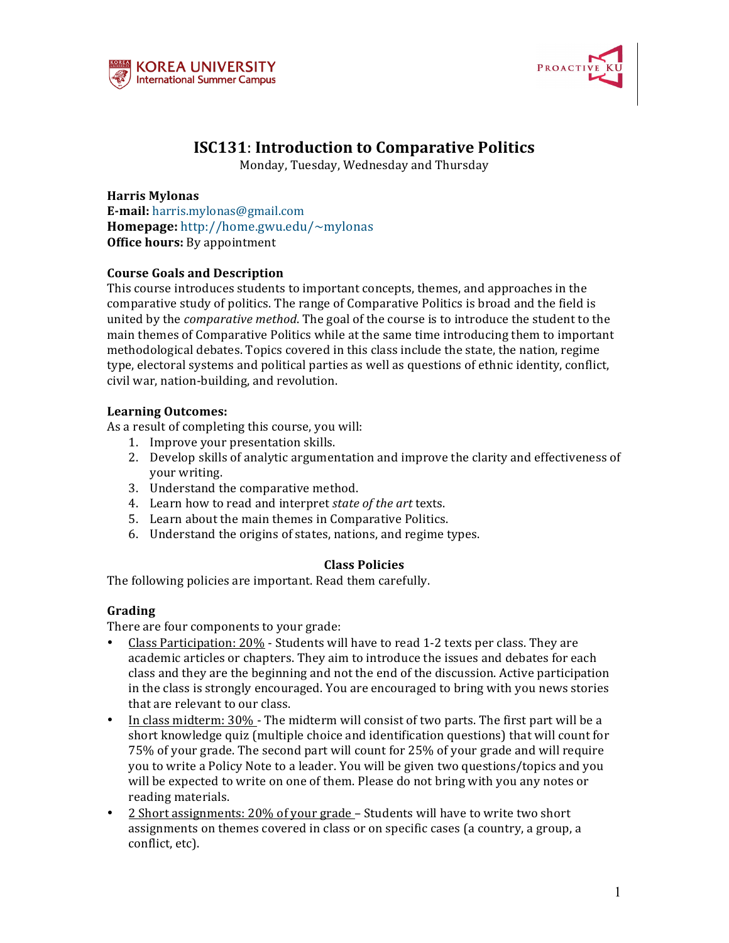



# **ISC131: Introduction to Comparative Politics**

Monday, Tuesday, Wednesday and Thursday

**Harris Mylonas E-mail:** harris.mylonas@gmail.com **Homepage:** http://home.gwu.edu/~mylonas **Office hours:** By appointment

# **Course Goals and Description**

This course introduces students to important concepts, themes, and approaches in the comparative study of politics. The range of Comparative Politics is broad and the field is united by the *comparative method*. The goal of the course is to introduce the student to the main themes of Comparative Politics while at the same time introducing them to important methodological debates. Topics covered in this class include the state, the nation, regime type, electoral systems and political parties as well as questions of ethnic identity, conflict, civil war, nation-building, and revolution.

# **Learning Outcomes:**

As a result of completing this course, you will:

- 1. Improve your presentation skills.
- 2. Develop skills of analytic argumentation and improve the clarity and effectiveness of your writing.
- 3. Understand the comparative method.
- 4. Learn how to read and interpret *state of the art* texts.
- 5. Learn about the main themes in Comparative Politics.
- 6. Understand the origins of states, nations, and regime types.

# **Class Policies**

The following policies are important. Read them carefully.

# **Grading**

There are four components to your grade:

- Class Participation: 20% Students will have to read 1-2 texts per class. They are academic articles or chapters. They aim to introduce the issues and debates for each class and they are the beginning and not the end of the discussion. Active participation in the class is strongly encouraged. You are encouraged to bring with you news stories that are relevant to our class.
- In class midterm:  $30\%$  The midterm will consist of two parts. The first part will be a short knowledge quiz (multiple choice and identification questions) that will count for 75% of your grade. The second part will count for 25% of your grade and will require you to write a Policy Note to a leader. You will be given two questions/topics and you will be expected to write on one of them. Please do not bring with you any notes or reading materials.
- 2 Short assignments: 20% of your grade Students will have to write two short assignments on themes covered in class or on specific cases (a country, a group, a conflict, etc).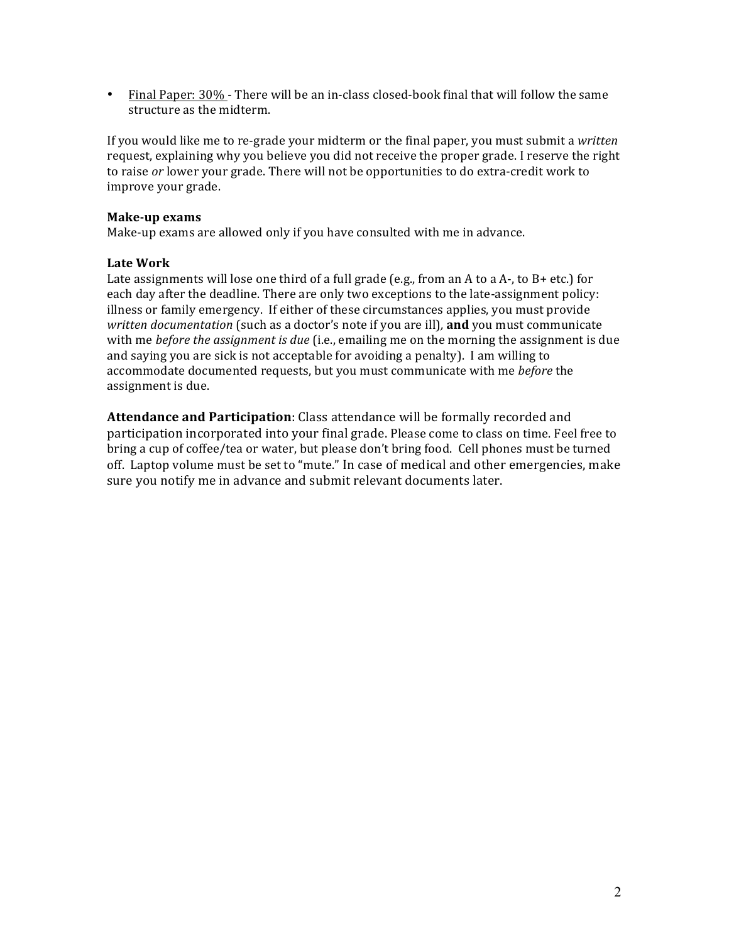• Final Paper: 30% - There will be an in-class closed-book final that will follow the same structure as the midterm.

If you would like me to re-grade your midterm or the final paper, you must submit a *written* request, explaining why you believe you did not receive the proper grade. I reserve the right to raise or lower your grade. There will not be opportunities to do extra-credit work to improve your grade.

# **Make-up exams**

Make-up exams are allowed only if you have consulted with me in advance.

# **Late Work**

Late assignments will lose one third of a full grade (e.g., from an A to a A-, to B+ etc.) for each day after the deadline. There are only two exceptions to the late-assignment policy: illness or family emergency. If either of these circumstances applies, you must provide *written documentation* (such as a doctor's note if you are ill), **and** you must communicate with me *before the assignment is due* (i.e., emailing me on the morning the assignment is due and saying you are sick is not acceptable for avoiding a penalty). I am willing to accommodate documented requests, but you must communicate with me *before* the assignment is due.

**Attendance and Participation**: Class attendance will be formally recorded and participation incorporated into your final grade. Please come to class on time. Feel free to bring a cup of coffee/tea or water, but please don't bring food. Cell phones must be turned off. Laptop volume must be set to "mute." In case of medical and other emergencies, make sure vou notify me in advance and submit relevant documents later.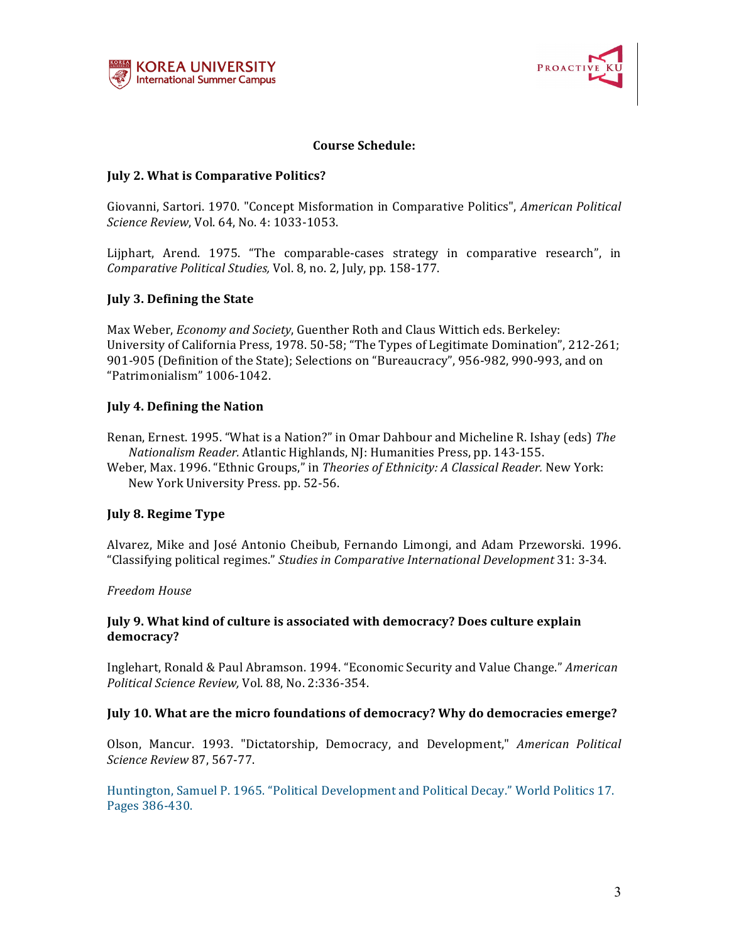



# **Course Schedule:**

# **July 2. What is Comparative Politics?**

Giovanni, Sartori. 1970. "Concept Misformation in Comparative Politics", *American Political Science Review, Vol.* 64, No. 4: 1033-1053.

Lijphart, Arend. 1975. "The comparable-cases strategy in comparative research", in *Comparative Political Studies, Vol. 8, no. 2, July, pp. 158-177.* 

# **July 3. Defining the State**

Max Weber, *Economy and Society*, Guenther Roth and Claus Wittich eds. Berkeley: University of California Press, 1978. 50-58; "The Types of Legitimate Domination", 212-261; 901-905 (Definition of the State); Selections on "Bureaucracy", 956-982, 990-993, and on "Patrimonialism" 1006-1042. 

# **July 4. Defining the Nation**

Renan, Ernest. 1995. "What is a Nation?" in Omar Dahbour and Micheline R. Ishay (eds) The *Nationalism Reader.* Atlantic Highlands, NJ: Humanities Press, pp. 143-155.

Weber, Max. 1996. "Ethnic Groups," in *Theories of Ethnicity: A Classical Reader*. New York: New York University Press. pp. 52-56.

# **July 8. Regime Type**

Alvarez, Mike and José Antonio Cheibub, Fernando Limongi, and Adam Przeworski. 1996. "Classifying political regimes." *Studies in Comparative International Development* 31: 3-34.

# *Freedom House*

# **July 9. What kind of culture is associated with democracy? Does culture explain democracy?**

Inglehart, Ronald & Paul Abramson. 1994. "Economic Security and Value Change." American *Political Science Review,* Vol. 88, No. 2:336-354.

# **July 10. What are the micro foundations of democracy? Why do democracies emerge?**

Olson, Mancur. 1993. "Dictatorship, Democracy, and Development," *American Political Science Review* 87, 567-77.

Huntington, Samuel P. 1965. "Political Development and Political Decay." World Politics 17. Pages 386-430.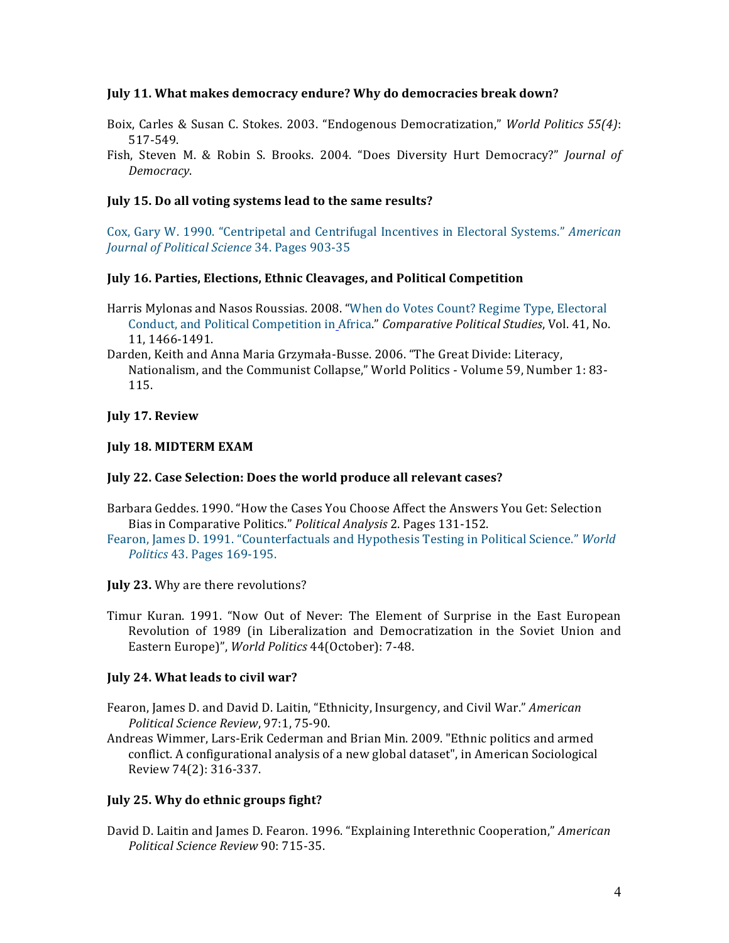## **July 11. What makes democracy endure? Why do democracies break down?**

- Boix, Carles & Susan C. Stokes. 2003. "Endogenous Democratization," *World Politics* 55(4): 517-549.
- Fish, Steven M. & Robin S. Brooks. 2004. "Does Diversity Hurt Democracy?" *Journal of Democracy*.

### **July 15. Do all voting systems lead to the same results?**

Cox, Gary W. 1990. "Centripetal and Centrifugal Incentives in Electoral Systems." *American Journal of Political Science* 34. Pages 903-35

### **July 16. Parties, Elections, Ethnic Cleavages, and Political Competition**

- Harris Mylonas and Nasos Roussias. 2008. "When do Votes Count? Regime Type, Electoral Conduct, and Political Competition in Africa." *Comparative Political Studies*, Vol. 41, No. 11, 1466-1491.
- Darden, Keith and Anna Maria Grzymała-Busse. 2006. "The Great Divide: Literacy, Nationalism, and the Communist Collapse," World Politics - Volume 59, Number 1: 83-115.

# **July 17. Review**

# **July 18. MIDTERM EXAM**

# July 22. Case Selection: Does the world produce all relevant cases?

- Barbara Geddes. 1990. "How the Cases You Choose Affect the Answers You Get: Selection Bias in Comparative Politics." *Political Analysis* 2. Pages 131-152.
- Fearon, James D. 1991. "Counterfactuals and Hypothesis Testing in Political Science." *World Politics* 43. Pages 169-195.

#### **July 23.** Why are there revolutions?

Timur Kuran. 1991. "Now Out of Never: The Element of Surprise in the East European Revolution of 1989 (in Liberalization and Democratization in the Soviet Union and Eastern Europe)", *World Politics* 44(October): 7-48.

# **July 24. What leads to civil war?**

- Fearon, James D. and David D. Laitin, "Ethnicity, Insurgency, and Civil War." *American Political Science Review*, 97:1, 75-90.
- Andreas Wimmer, Lars-Erik Cederman and Brian Min. 2009. "Ethnic politics and armed conflict. A configurational analysis of a new global dataset", in American Sociological Review 74(2): 316-337.

# **July 25. Why do ethnic groups fight?**

David D. Laitin and James D. Fearon. 1996. "Explaining Interethnic Cooperation," American *Political Science Review* 90: 715-35.